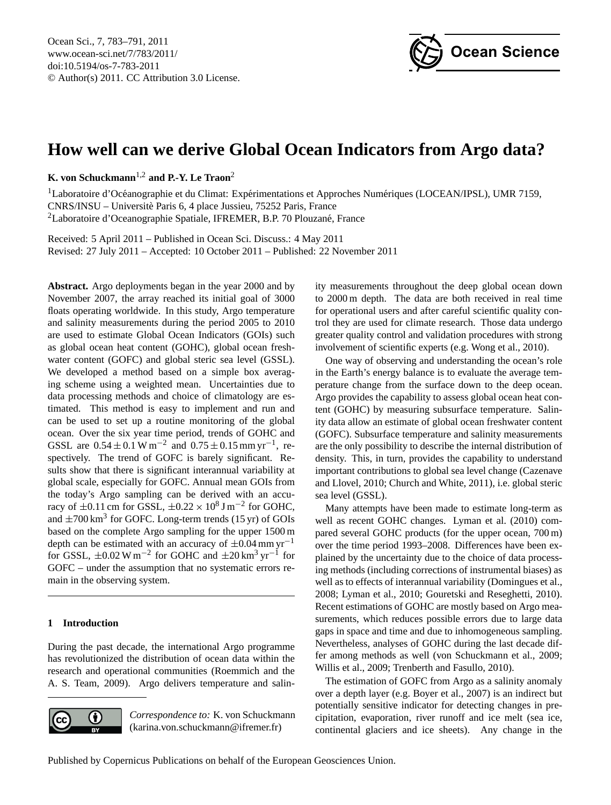

# <span id="page-0-0"></span>**How well can we derive Global Ocean Indicators from Argo data?**

**K. von Schuckmann**1,2 **and P.-Y. Le Traon**<sup>2</sup>

 $1$ Laboratoire d'Océanographie et du Climat: Expérimentations et Approches Numériques (LOCEAN/IPSL), UMR 7159, CNRS/INSU – Universite Paris 6, 4 place Jussieu, 75252 Paris, France ` <sup>2</sup>Laboratoire d'Oceanographie Spatiale, IFREMER, B.P. 70 Plouzané, France

Received: 5 April 2011 – Published in Ocean Sci. Discuss.: 4 May 2011 Revised: 27 July 2011 – Accepted: 10 October 2011 – Published: 22 November 2011

**Abstract.** Argo deployments began in the year 2000 and by November 2007, the array reached its initial goal of 3000 floats operating worldwide. In this study, Argo temperature and salinity measurements during the period 2005 to 2010 are used to estimate Global Ocean Indicators (GOIs) such as global ocean heat content (GOHC), global ocean freshwater content (GOFC) and global steric sea level (GSSL). We developed a method based on a simple box averaging scheme using a weighted mean. Uncertainties due to data processing methods and choice of climatology are estimated. This method is easy to implement and run and can be used to set up a routine monitoring of the global ocean. Over the six year time period, trends of GOHC and GSSL are  $0.54 \pm 0.1$  W m<sup>-2</sup> and  $0.75 \pm 0.15$  mm yr<sup>-1</sup>, respectively. The trend of GOFC is barely significant. Results show that there is significant interannual variability at global scale, especially for GOFC. Annual mean GOIs from the today's Argo sampling can be derived with an accuracy of  $\pm 0.11$  cm for GSSL,  $\pm 0.22 \times 10^8$  J m<sup>-2</sup> for GOHC, and  $\pm 700 \text{ km}^3$  for GOFC. Long-term trends (15 yr) of GOIs based on the complete Argo sampling for the upper 1500 m depth can be estimated with an accuracy of  $\pm 0.04$  mm yr<sup>-1</sup> for GSSL,  $\pm 0.02 \text{ W m}^{-2}$  for GOHC and  $\pm 20 \text{ km}^3 \text{ yr}^{-1}$  for GOFC – under the assumption that no systematic errors remain in the observing system.

# **1 Introduction**

During the past decade, the international Argo programme has revolutionized the distribution of ocean data within the research and operational communities (Roemmich and the A. S. Team, 2009). Argo delivers temperature and salin-



*Correspondence to:* K. von Schuckmann (karina.von.schuckmann@ifremer.fr)

ity measurements throughout the deep global ocean down to 2000 m depth. The data are both received in real time for operational users and after careful scientific quality control they are used for climate research. Those data undergo greater quality control and validation procedures with strong involvement of scientific experts (e.g. Wong et al., 2010).

One way of observing and understanding the ocean's role in the Earth's energy balance is to evaluate the average temperature change from the surface down to the deep ocean. Argo provides the capability to assess global ocean heat content (GOHC) by measuring subsurface temperature. Salinity data allow an estimate of global ocean freshwater content (GOFC). Subsurface temperature and salinity measurements are the only possibility to describe the internal distribution of density. This, in turn, provides the capability to understand important contributions to global sea level change (Cazenave and Llovel, 2010; Church and White, 2011), i.e. global steric sea level (GSSL).

Many attempts have been made to estimate long-term as well as recent GOHC changes. Lyman et al. (2010) compared several GOHC products (for the upper ocean, 700 m) over the time period 1993–2008. Differences have been explained by the uncertainty due to the choice of data processing methods (including corrections of instrumental biases) as well as to effects of interannual variability (Domingues et al., 2008; Lyman et al., 2010; Gouretski and Reseghetti, 2010). Recent estimations of GOHC are mostly based on Argo measurements, which reduces possible errors due to large data gaps in space and time and due to inhomogeneous sampling. Nevertheless, analyses of GOHC during the last decade differ among methods as well (von Schuckmann et al., 2009; Willis et al., 2009; Trenberth and Fasullo, 2010).

The estimation of GOFC from Argo as a salinity anomaly over a depth layer (e.g. Boyer et al., 2007) is an indirect but potentially sensitive indicator for detecting changes in precipitation, evaporation, river runoff and ice melt (sea ice, continental glaciers and ice sheets). Any change in the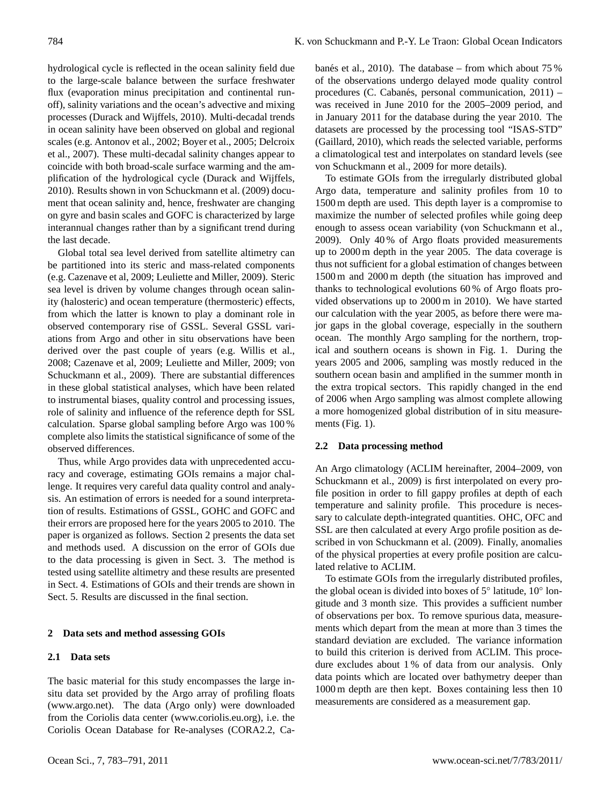hydrological cycle is reflected in the ocean salinity field due to the large-scale balance between the surface freshwater flux (evaporation minus precipitation and continental runoff), salinity variations and the ocean's advective and mixing processes (Durack and Wijffels, 2010). Multi-decadal trends in ocean salinity have been observed on global and regional scales (e.g. Antonov et al., 2002; Boyer et al., 2005; Delcroix et al., 2007). These multi-decadal salinity changes appear to coincide with both broad-scale surface warming and the amplification of the hydrological cycle (Durack and Wijffels, 2010). Results shown in von Schuckmann et al. (2009) document that ocean salinity and, hence, freshwater are changing on gyre and basin scales and GOFC is characterized by large interannual changes rather than by a significant trend during the last decade.

Global total sea level derived from satellite altimetry can be partitioned into its steric and mass-related components (e.g. Cazenave et al, 2009; Leuliette and Miller, 2009). Steric sea level is driven by volume changes through ocean salinity (halosteric) and ocean temperature (thermosteric) effects, from which the latter is known to play a dominant role in observed contemporary rise of GSSL. Several GSSL variations from Argo and other in situ observations have been derived over the past couple of years (e.g. Willis et al., 2008; Cazenave et al, 2009; Leuliette and Miller, 2009; von Schuckmann et al., 2009). There are substantial differences in these global statistical analyses, which have been related to instrumental biases, quality control and processing issues, role of salinity and influence of the reference depth for SSL calculation. Sparse global sampling before Argo was 100 % complete also limits the statistical significance of some of the observed differences.

Thus, while Argo provides data with unprecedented accuracy and coverage, estimating GOIs remains a major challenge. It requires very careful data quality control and analysis. An estimation of errors is needed for a sound interpretation of results. Estimations of GSSL, GOHC and GOFC and their errors are proposed here for the years 2005 to 2010. The paper is organized as follows. Section 2 presents the data set and methods used. A discussion on the error of GOIs due to the data processing is given in Sect. 3. The method is tested using satellite altimetry and these results are presented in Sect. 4. Estimations of GOIs and their trends are shown in Sect. 5. Results are discussed in the final section.

#### **2 Data sets and method assessing GOIs**

## **2.1 Data sets**

The basic material for this study encompasses the large insitu data set provided by the Argo array of profiling floats [\(www.argo.net\)](www.argo.net). The data (Argo only) were downloaded from the Coriolis data center [\(www.coriolis.eu.org\)](www.coriolis.eu.org), i.e. the Coriolis Ocean Database for Re-analyses (CORA2.2, Cabanés et al., 2010). The database – from which about  $75\%$ of the observations undergo delayed mode quality control procedures (C. Cabanés, personal communication,  $2011$ ) – was received in June 2010 for the 2005–2009 period, and in January 2011 for the database during the year 2010. The datasets are processed by the processing tool "ISAS-STD" (Gaillard, 2010), which reads the selected variable, performs a climatological test and interpolates on standard levels (see von Schuckmann et al., 2009 for more details).

To estimate GOIs from the irregularly distributed global Argo data, temperature and salinity profiles from 10 to 1500 m depth are used. This depth layer is a compromise to maximize the number of selected profiles while going deep enough to assess ocean variability (von Schuckmann et al., 2009). Only 40 % of Argo floats provided measurements up to 2000 m depth in the year 2005. The data coverage is thus not sufficient for a global estimation of changes between 1500 m and 2000 m depth (the situation has improved and thanks to technological evolutions 60 % of Argo floats provided observations up to 2000 m in 2010). We have started our calculation with the year 2005, as before there were major gaps in the global coverage, especially in the southern ocean. The monthly Argo sampling for the northern, tropical and southern oceans is shown in Fig. 1. During the years 2005 and 2006, sampling was mostly reduced in the southern ocean basin and amplified in the summer month in the extra tropical sectors. This rapidly changed in the end of 2006 when Argo sampling was almost complete allowing a more homogenized global distribution of in situ measurements (Fig. 1).

## **2.2 Data processing method**

An Argo climatology (ACLIM hereinafter, 2004–2009, von Schuckmann et al., 2009) is first interpolated on every profile position in order to fill gappy profiles at depth of each temperature and salinity profile. This procedure is necessary to calculate depth-integrated quantities. OHC, OFC and SSL are then calculated at every Argo profile position as described in von Schuckmann et al. (2009). Finally, anomalies of the physical properties at every profile position are calculated relative to ACLIM.

To estimate GOIs from the irregularly distributed profiles, the global ocean is divided into boxes of 5◦ latitude, 10◦ longitude and 3 month size. This provides a sufficient number of observations per box. To remove spurious data, measurements which depart from the mean at more than 3 times the standard deviation are excluded. The variance information to build this criterion is derived from ACLIM. This procedure excludes about 1 % of data from our analysis. Only data points which are located over bathymetry deeper than 1000 m depth are then kept. Boxes containing less then 10 measurements are considered as a measurement gap.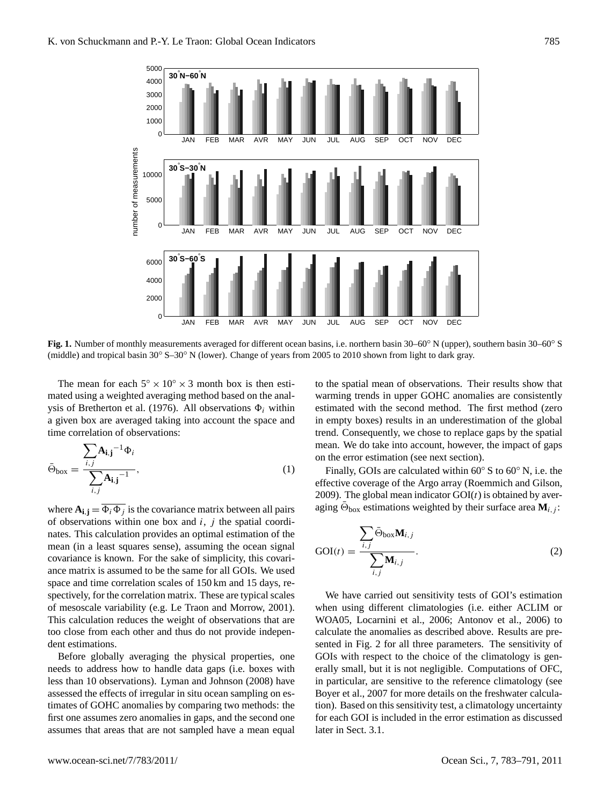

**Fig. 1.** Number of monthly measurements averaged for different ocean basins, i.e. northern basin 30–60◦ N (upper), southern basin 30–60◦ S (middle) and tropical basin 30◦ S–30◦ N (lower). Change of years from 2005 to 2010 shown from light to dark gray.

The mean for each  $5^\circ \times 10^\circ \times 3$  month box is then estimated using a weighted averaging method based on the analysis of Bretherton et al. (1976). All observations  $\Phi_i$  within a given box are averaged taking into account the space and time correlation of observations:

$$
\bar{\Theta}_{\text{box}} = \frac{\sum_{i,j} A_{\mathbf{i},\mathbf{j}}^{-1} \Phi_i}{\sum_{i,j} A_{\mathbf{i},\mathbf{j}}^{-1}},\tag{1}
$$

where  $A_{i,j} = \overline{\Phi_i \Phi_j}$  is the covariance matrix between all pairs of observations within one box and  $i$ ,  $j$  the spatial coordinates. This calculation provides an optimal estimation of the mean (in a least squares sense), assuming the ocean signal covariance is known. For the sake of simplicity, this covariance matrix is assumed to be the same for all GOIs. We used space and time correlation scales of 150 km and 15 days, respectively, for the correlation matrix. These are typical scales of mesoscale variability (e.g. Le Traon and Morrow, 2001). This calculation reduces the weight of observations that are too close from each other and thus do not provide independent estimations.

Before globally averaging the physical properties, one needs to address how to handle data gaps (i.e. boxes with less than 10 observations). Lyman and Johnson (2008) have assessed the effects of irregular in situ ocean sampling on estimates of GOHC anomalies by comparing two methods: the first one assumes zero anomalies in gaps, and the second one assumes that areas that are not sampled have a mean equal to the spatial mean of observations. Their results show that warming trends in upper GOHC anomalies are consistently estimated with the second method. The first method (zero in empty boxes) results in an underestimation of the global trend. Consequently, we chose to replace gaps by the spatial mean. We do take into account, however, the impact of gaps on the error estimation (see next section).

Finally, GOIs are calculated within 60◦ S to 60◦ N, i.e. the effective coverage of the Argo array (Roemmich and Gilson, 2009). The global mean indicator  $GOI(t)$  is obtained by averaging  $\bar{\Theta}_{\text{box}}$  estimations weighted by their surface area  $\mathbf{M}_{i,j}$ :

$$
GOI(t) = \frac{\sum_{i,j} \bar{\Theta}_{\text{box}} \mathbf{M}_{i,j}}{\sum_{i,j} \mathbf{M}_{i,j}}.
$$
 (2)

We have carried out sensitivity tests of GOI's estimation when using different climatologies (i.e. either ACLIM or WOA05, Locarnini et al., 2006; Antonov et al., 2006) to calculate the anomalies as described above. Results are presented in Fig. 2 for all three parameters. The sensitivity of GOIs with respect to the choice of the climatology is generally small, but it is not negligible. Computations of OFC, in particular, are sensitive to the reference climatology (see Boyer et al., 2007 for more details on the freshwater calculation). Based on this sensitivity test, a climatology uncertainty for each GOI is included in the error estimation as discussed later in Sect. 3.1.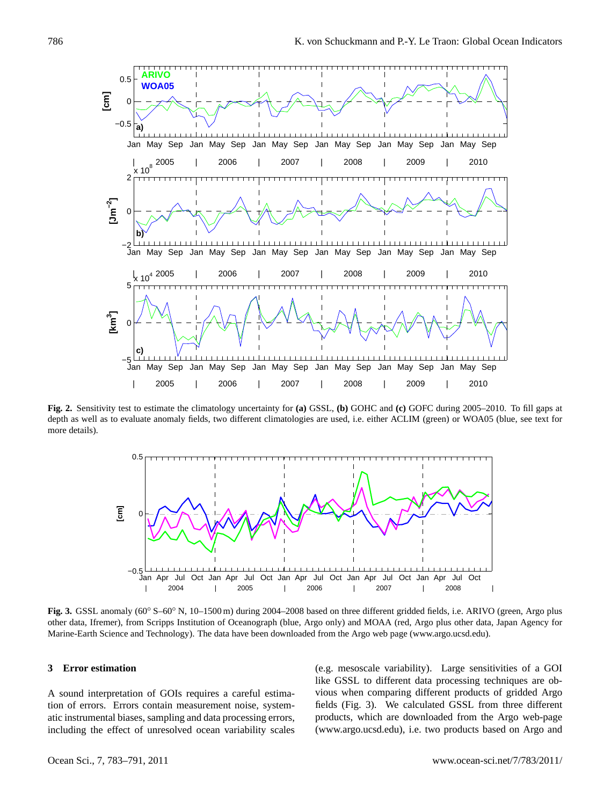

**Fig. 2.** Sensitivity test to estimate the climatology uncertainty for **(a)** GSSL, **(b)** GOHC and **(c)** GOFC during 2005–2010. To fill gaps at depth as well as to evaluate anomaly fields, two different climatologies are used, i.e. either ACLIM (green) or WOA05 (blue, see text for more details).



**Fig. 3.** GSSL anomaly (60◦ S–60◦ N, 10–1500 m) during 2004–2008 based on three different gridded fields, i.e. ARIVO (green, Argo plus other data, Ifremer), from Scripps Institution of Oceanograph (blue, Argo only) and MOAA (red, Argo plus other data, Japan Agency for Marine-Earth Science and Technology). The data have been downloaded from the Argo web page [\(www.argo.ucsd.edu\)](www.argo.ucsd.edu).

# **3 Error estimation**

A sound interpretation of GOIs requires a careful estimation of errors. Errors contain measurement noise, systematic instrumental biases, sampling and data processing errors, including the effect of unresolved ocean variability scales (e.g. mesoscale variability). Large sensitivities of a GOI like GSSL to different data processing techniques are obvious when comparing different products of gridded Argo fields (Fig. 3). We calculated GSSL from three different products, which are downloaded from the Argo web-page [\(www.argo.ucsd.edu\)](www.argo.ucsd.edu), i.e. two products based on Argo and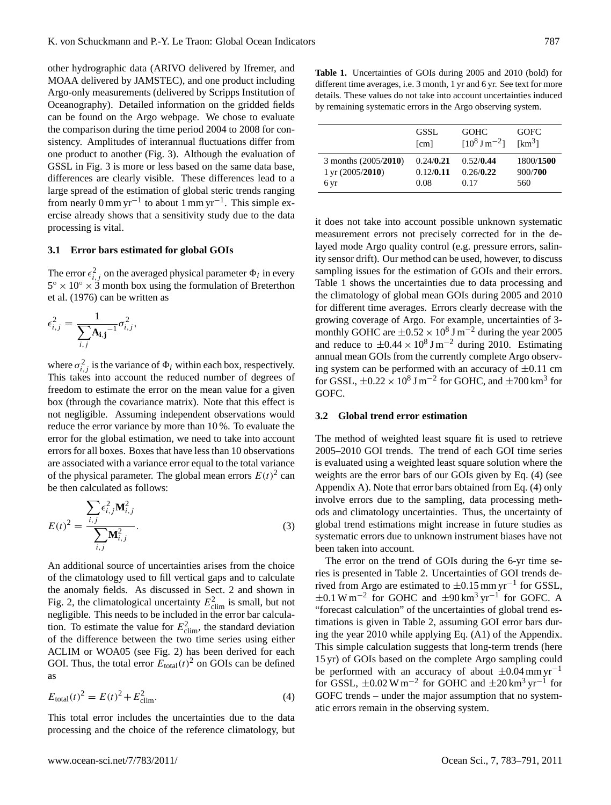other hydrographic data (ARIVO delivered by Ifremer, and MOAA delivered by JAMSTEC), and one product including Argo-only measurements (delivered by Scripps Institution of Oceanography). Detailed information on the gridded fields can be found on the Argo webpage. We chose to evaluate the comparison during the time period 2004 to 2008 for consistency. Amplitudes of interannual fluctuations differ from one product to another (Fig. 3). Although the evaluation of GSSL in Fig. 3 is more or less based on the same data base, differences are clearly visible. These differences lead to a large spread of the estimation of global steric trends ranging from nearly 0 mm yr<sup>-1</sup> to about 1 mm yr<sup>-1</sup>. This simple exercise already shows that a sensitivity study due to the data processing is vital.

#### **3.1 Error bars estimated for global GOIs**

The error  $\epsilon_{i,j}^2$  on the averaged physical parameter  $\Phi_i$  in every  $5^{\circ} \times 10^{\circ} \times 3^{\circ}$  month box using the formulation of Breterthon et al. (1976) can be written as

$$
\epsilon_{i,j}^2 = \frac{1}{\sum_{i,j} A_{i,j}^{-1}} \sigma_{i,j}^2,
$$

where  $\sigma_{i,j}^2$  is the variance of  $\Phi_i$  within each box, respectively. This takes into account the reduced number of degrees of freedom to estimate the error on the mean value for a given box (through the covariance matrix). Note that this effect is not negligible. Assuming independent observations would reduce the error variance by more than 10 %. To evaluate the error for the global estimation, we need to take into account errors for all boxes. Boxes that have less than 10 observations are associated with a variance error equal to the total variance of the physical parameter. The global mean errors  $E(t)^2$  can be then calculated as follows:

$$
E(t)^{2} = \frac{\sum_{i,j} \epsilon_{i,j}^{2} \mathbf{M}_{i,j}^{2}}{\sum_{i,j} \mathbf{M}_{i,j}^{2}}.
$$
 (3)

An additional source of uncertainties arises from the choice of the climatology used to fill vertical gaps and to calculate the anomaly fields. As discussed in Sect. 2 and shown in Fig. 2, the climatological uncertainty  $E_{\text{elim}}^2$  is small, but not negligible. This needs to be included in the error bar calculation. To estimate the value for  $E_{\text{clim}}^2$ , the standard deviation of the difference between the two time series using either ACLIM or WOA05 (see Fig. 2) has been derived for each GOI. Thus, the total error  $E_{\text{total}}(t)^2$  on GOIs can be defined as

$$
E_{\text{total}}(t)^{2} = E(t)^{2} + E_{\text{elim}}^{2}.
$$
 (4)

This total error includes the uncertainties due to the data processing and the choice of the reference climatology, but

**Table 1.** Uncertainties of GOIs during 2005 and 2010 (bold) for different time averages, i.e. 3 month, 1 yr and 6 yr. See text for more details. These values do not take into account uncertainties induced by remaining systematic errors in the Argo observing system.

|                             | GSSL      | <b>GOHC</b>                       | <b>GOFC</b>        |
|-----------------------------|-----------|-----------------------------------|--------------------|
|                             | [cm]      | $[10^8 \text{ J} \text{ m}^{-2}]$ | [km <sup>3</sup> ] |
| 3 months (2005/2010)        | 0.24/0.21 | 0.52/0.44                         | 1800/1500          |
| $1 \,\text{yr}$ (2005/2010) | 0.12/0.11 | 0.26/0.22                         | 900/700            |
| 6 yr                        | 0.08      | 0.17                              | 560                |

it does not take into account possible unknown systematic measurement errors not precisely corrected for in the delayed mode Argo quality control (e.g. pressure errors, salinity sensor drift). Our method can be used, however, to discuss sampling issues for the estimation of GOIs and their errors. Table 1 shows the uncertainties due to data processing and the climatology of global mean GOIs during 2005 and 2010 for different time averages. Errors clearly decrease with the growing coverage of Argo. For example, uncertainties of 3 monthly GOHC are  $\pm 0.52 \times 10^8$  J m<sup>-2</sup> during the year 2005 and reduce to  $\pm 0.44 \times 10^8$  J m<sup>-2</sup> during 2010. Estimating annual mean GOIs from the currently complete Argo observing system can be performed with an accuracy of  $\pm 0.11$  cm for GSSL,  $\pm 0.22 \times 10^8$  J m<sup>-2</sup> for GOHC, and  $\pm 700$  km<sup>3</sup> for GOFC.

#### **3.2 Global trend error estimation**

The method of weighted least square fit is used to retrieve 2005–2010 GOI trends. The trend of each GOI time series is evaluated using a weighted least square solution where the weights are the error bars of our GOIs given by Eq. (4) (see Appendix A). Note that error bars obtained from Eq. (4) only involve errors due to the sampling, data processing methods and climatology uncertainties. Thus, the uncertainty of global trend estimations might increase in future studies as systematic errors due to unknown instrument biases have not been taken into account.

The error on the trend of GOIs during the 6-yr time series is presented in Table 2. Uncertainties of GOI trends derived from Argo are estimated to  $\pm 0.15$  mm yr<sup>-1</sup> for GSSL,  $\pm 0.1$  W m<sup>-2</sup> for GOHC and  $\pm 90$  km<sup>3</sup> yr<sup>-1</sup> for GOFC. A "forecast calculation" of the uncertainties of global trend estimations is given in Table 2, assuming GOI error bars during the year 2010 while applying Eq. (A1) of the Appendix. This simple calculation suggests that long-term trends (here 15 yr) of GOIs based on the complete Argo sampling could be performed with an accuracy of about  $\pm 0.04$  mm yr<sup>-1</sup> for GSSL,  $\pm 0.02 \text{ W m}^{-2}$  for GOHC and  $\pm 20 \text{ km}^3 \text{ yr}^{-1}$  for GOFC trends – under the major assumption that no systematic errors remain in the observing system.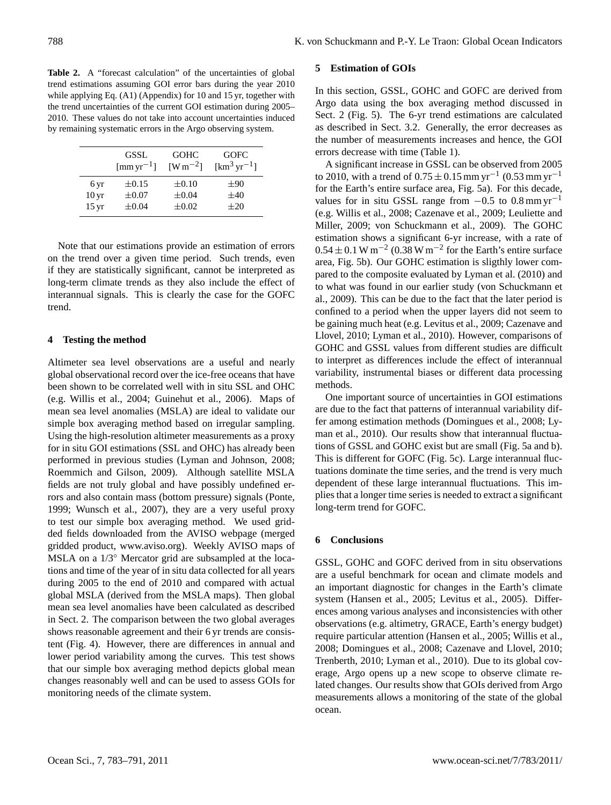Table 2. A "forecast calculation" of the uncertainties of global trend estimations assuming GOI error bars during the year 2010 while applying Eq. (A1) (Appendix) for 10 and 15 yr, together with the trend uncertainties of the current GOI estimation during 2005– 2010. These values do not take into account uncertainties induced by remaining systematic errors in the Argo observing system.

|                    | <b>GSSL</b><br>$\mathrm{[mm\,yr}^{-1}]$ | <b>GOHC</b><br>$[W \, m^{-2}]$ | <b>GOFC</b><br>$\mathrm{[km^3\,yr^{-1}]}$ |
|--------------------|-----------------------------------------|--------------------------------|-------------------------------------------|
| 6 yr               | $\pm 0.15$                              | $\pm 0.10$                     | $\pm 90$                                  |
| 10 <sub>yr</sub>   | $\pm 0.07$                              | $\pm 0.04$                     | $\pm 40$                                  |
| $15 \,\mathrm{yr}$ | $\pm 0.04$                              | $\pm 0.02$                     | $\pm 20$                                  |

Note that our estimations provide an estimation of errors on the trend over a given time period. Such trends, even if they are statistically significant, cannot be interpreted as long-term climate trends as they also include the effect of interannual signals. This is clearly the case for the GOFC trend.

#### **4 Testing the method**

Altimeter sea level observations are a useful and nearly global observational record over the ice-free oceans that have been shown to be correlated well with in situ SSL and OHC (e.g. Willis et al., 2004; Guinehut et al., 2006). Maps of mean sea level anomalies (MSLA) are ideal to validate our simple box averaging method based on irregular sampling. Using the high-resolution altimeter measurements as a proxy for in situ GOI estimations (SSL and OHC) has already been performed in previous studies (Lyman and Johnson, 2008; Roemmich and Gilson, 2009). Although satellite MSLA fields are not truly global and have possibly undefined errors and also contain mass (bottom pressure) signals (Ponte, 1999; Wunsch et al., 2007), they are a very useful proxy to test our simple box averaging method. We used gridded fields downloaded from the AVISO webpage (merged gridded product, [www.aviso.org\)](www.aviso.org). Weekly AVISO maps of MSLA on a 1/3<sup>○</sup> Mercator grid are subsampled at the locations and time of the year of in situ data collected for all years during 2005 to the end of 2010 and compared with actual global MSLA (derived from the MSLA maps). Then global mean sea level anomalies have been calculated as described in Sect. 2. The comparison between the two global averages shows reasonable agreement and their 6 yr trends are consistent (Fig. 4). However, there are differences in annual and lower period variability among the curves. This test shows that our simple box averaging method depicts global mean changes reasonably well and can be used to assess GOIs for monitoring needs of the climate system.

## **5 Estimation of GOIs**

In this section, GSSL, GOHC and GOFC are derived from Argo data using the box averaging method discussed in Sect. 2 (Fig. 5). The 6-yr trend estimations are calculated as described in Sect. 3.2. Generally, the error decreases as the number of measurements increases and hence, the GOI errors decrease with time (Table 1).

A significant increase in GSSL can be observed from 2005 to 2010, with a trend of  $0.75 \pm 0.15$  mm yr<sup>-1</sup> (0.53 mm yr<sup>-1</sup> for the Earth's entire surface area, Fig. 5a). For this decade, values for in situ GSSL range from  $-0.5$  to  $0.8$  mm yr<sup>-1</sup> (e.g. Willis et al., 2008; Cazenave et al., 2009; Leuliette and Miller, 2009; von Schuckmann et al., 2009). The GOHC estimation shows a significant 6-yr increase, with a rate of  $0.54 \pm 0.1$  W m<sup>-2</sup> (0.38 W m<sup>-2</sup> for the Earth's entire surface area, Fig. 5b). Our GOHC estimation is sligthly lower compared to the composite evaluated by Lyman et al. (2010) and to what was found in our earlier study (von Schuckmann et al., 2009). This can be due to the fact that the later period is confined to a period when the upper layers did not seem to be gaining much heat (e.g. Levitus et al., 2009; Cazenave and Llovel, 2010; Lyman et al., 2010). However, comparisons of GOHC and GSSL values from different studies are difficult to interpret as differences include the effect of interannual variability, instrumental biases or different data processing methods.

One important source of uncertainties in GOI estimations are due to the fact that patterns of interannual variability differ among estimation methods (Domingues et al., 2008; Lyman et al., 2010). Our results show that interannual fluctuations of GSSL and GOHC exist but are small (Fig. 5a and b). This is different for GOFC (Fig. 5c). Large interannual fluctuations dominate the time series, and the trend is very much dependent of these large interannual fluctuations. This implies that a longer time series is needed to extract a significant long-term trend for GOFC.

## **6 Conclusions**

GSSL, GOHC and GOFC derived from in situ observations are a useful benchmark for ocean and climate models and an important diagnostic for changes in the Earth's climate system (Hansen et al., 2005; Levitus et al., 2005). Differences among various analyses and inconsistencies with other observations (e.g. altimetry, GRACE, Earth's energy budget) require particular attention (Hansen et al., 2005; Willis et al., 2008; Domingues et al., 2008; Cazenave and Llovel, 2010; Trenberth, 2010; Lyman et al., 2010). Due to its global coverage, Argo opens up a new scope to observe climate related changes. Our results show that GOIs derived from Argo measurements allows a monitoring of the state of the global ocean.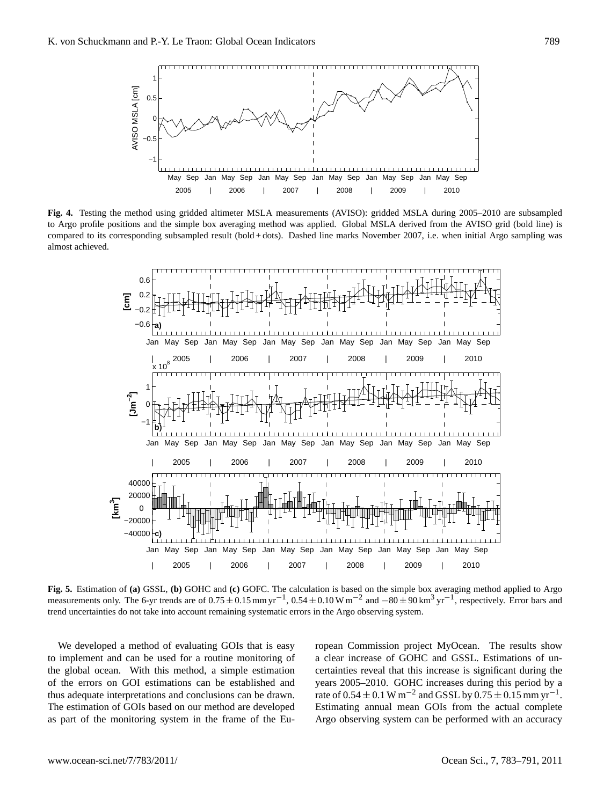

**Fig. 4.** Testing the method using gridded altimeter MSLA measurements (AVISO): gridded MSLA during 2005–2010 are subsampled to Argo profile positions and the simple box averaging method was applied. Global MSLA derived from the AVISO grid (bold line) is compared to its corresponding subsampled result (bold + dots). Dashed line marks November 2007, i.e. when initial Argo sampling was almost achieved.



**Fig. 5.** Estimation of **(a)** GSSL, **(b)** GOHC and **(c)** GOFC. The calculation is based on the simple box averaging method applied to Argo measurements only. The 6-yr trends are of  $0.75 \pm 0.15$  mm yr<sup>-1</sup>,  $0.54 \pm 0.10$  W m<sup>-2</sup> and  $-80 \pm 90$  km<sup>3</sup> yr<sup>-1</sup>, respectively. Error bars and trend uncertainties do not take into account remaining systematic errors in the Argo observing system.

We developed a method of evaluating GOIs that is easy to implement and can be used for a routine monitoring of the global ocean. With this method, a simple estimation of the errors on GOI estimations can be established and thus adequate interpretations and conclusions can be drawn. The estimation of GOIs based on our method are developed as part of the monitoring system in the frame of the European Commission project MyOcean. The results show a clear increase of GOHC and GSSL. Estimations of uncertainties reveal that this increase is significant during the years 2005–2010. GOHC increases during this period by a rate of  $0.54 \pm 0.1$  W m<sup>-2</sup> and GSSL by  $0.75 \pm 0.15$  mm yr<sup>-1</sup>. Estimating annual mean GOIs from the actual complete Argo observing system can be performed with an accuracy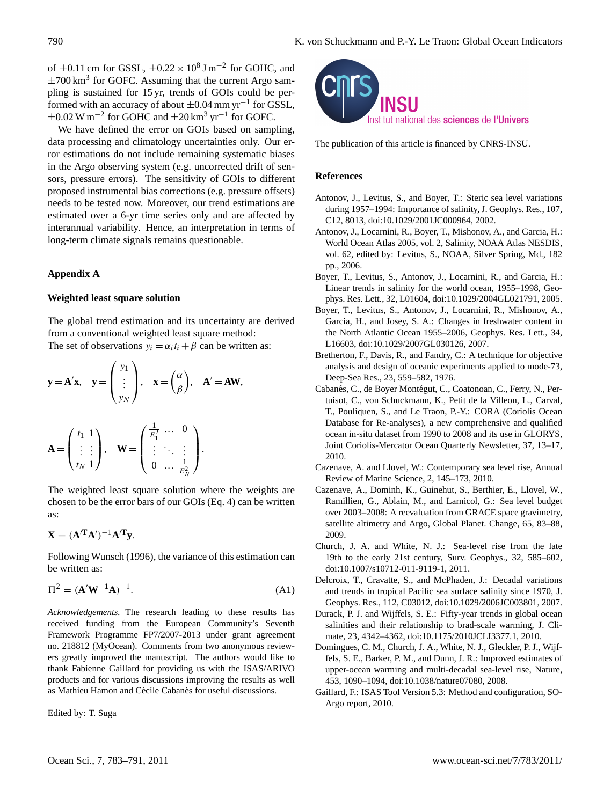of  $\pm 0.11$  cm for GSSL,  $\pm 0.22 \times 10^8$  J m<sup>-2</sup> for GOHC, and  $\pm$ 700 km<sup>3</sup> for GOFC. Assuming that the current Argo sampling is sustained for 15 yr, trends of GOIs could be performed with an accuracy of about  $\pm 0.04$  mm yr<sup>-1</sup> for GSSL,  $\pm 0.02$  W m<sup>-2</sup> for GOHC and  $\pm 20$  km<sup>3</sup> yr<sup>-1</sup> for GOFC.

We have defined the error on GOIs based on sampling, data processing and climatology uncertainties only. Our error estimations do not include remaining systematic biases in the Argo observing system (e.g. uncorrected drift of sensors, pressure errors). The sensitivity of GOIs to different proposed instrumental bias corrections (e.g. pressure offsets) needs to be tested now. Moreover, our trend estimations are estimated over a 6-yr time series only and are affected by interannual variability. Hence, an interpretation in terms of long-term climate signals remains questionable.

# **Appendix A**

#### **Weighted least square solution**

The global trend estimation and its uncertainty are derived from a conventional weighted least square method: The set of observations  $y_i = \alpha_i t_i + \beta$  can be written as:

$$
y = A'x
$$
,  $y = \begin{pmatrix} y_1 \\ \vdots \\ y_N \end{pmatrix}$ ,  $x = \begin{pmatrix} \alpha \\ \beta \end{pmatrix}$ ,  $A' = AW$ ,

$$
\mathbf{A} = \begin{pmatrix} t_1 & 1 \\ \vdots & \vdots \\ t_N & 1 \end{pmatrix}, \quad \mathbf{W} = \begin{pmatrix} \frac{1}{E_1^2} & \cdots & 0 \\ \vdots & \ddots & \vdots \\ 0 & \cdots & \frac{1}{E_N^2} \end{pmatrix}.
$$

The weighted least square solution where the weights are chosen to be the error bars of our GOIs (Eq. 4) can be written as:

$$
\mathbf{X} = (\mathbf{A}^{\prime \mathbf{T}} \mathbf{A}^{\prime})^{-1} \mathbf{A}^{\prime \mathbf{T}} \mathbf{y}.
$$

Following Wunsch (1996), the variance of this estimation can be written as:

$$
\Pi^2 = (\mathbf{A}'\mathbf{W}^{-1}\mathbf{A})^{-1}.
$$
 (A1)

*Acknowledgements.* The research leading to these results has received funding from the European Community's Seventh Framework Programme FP7/2007-2013 under grant agreement no. 218812 (MyOcean). Comments from two anonymous reviewers greatly improved the manuscript. The authors would like to thank Fabienne Gaillard for providing us with the ISAS/ARIVO products and for various discussions improving the results as well as Mathieu Hamon and Cécile Cabanés for useful discussions.

Edited by: T. Suga



The publication of this article is financed by CNRS-INSU.

#### **References**

- Antonov, J., Levitus, S., and Boyer, T.: Steric sea level variations during 1957–1994: Importance of salinity, J. Geophys. Res., 107, C12, 8013, [doi:10.1029/2001JC000964,](http://dx.doi.org/10.1029/2001JC000964) 2002.
- Antonov, J., Locarnini, R., Boyer, T., Mishonov, A., and Garcia, H.: World Ocean Atlas 2005, vol. 2, Salinity, NOAA Atlas NESDIS, vol. 62, edited by: Levitus, S., NOAA, Silver Spring, Md., 182 pp., 2006.
- Boyer, T., Levitus, S., Antonov, J., Locarnini, R., and Garcia, H.: Linear trends in salinity for the world ocean, 1955–1998, Geophys. Res. Lett., 32, L01604, doi:10.1029/2004GL021791, 2005.
- Boyer, T., Levitus, S., Antonov, J., Locarnini, R., Mishonov, A., Garcia, H., and Josey, S. A.: Changes in freshwater content in the North Atlantic Ocean 1955–2006, Geophys. Res. Lett., 34, L16603, [doi:10.1029/2007GL030126,](http://dx.doi.org/10.1029/2007GL030126) 2007.
- Bretherton, F., Davis, R., and Fandry, C.: A technique for objective analysis and design of oceanic experiments applied to mode-73, Deep-Sea Res., 23, 559–582, 1976.
- Cabanés, C., de Boyer Montégut, C., Coatonoan, C., Ferry, N., Pertuisot, C., von Schuckmann, K., Petit de la Villeon, L., Carval, T., Pouliquen, S., and Le Traon, P.-Y.: CORA (Coriolis Ocean Database for Re-analyses), a new comprehensive and qualified ocean in-situ dataset from 1990 to 2008 and its use in GLORYS, Joint Coriolis-Mercator Ocean Quarterly Newsletter, 37, 13–17, 2010.
- Cazenave, A. and Llovel, W.: Contemporary sea level rise, Annual Review of Marine Science, 2, 145–173, 2010.
- Cazenave, A., Dominh, K., Guinehut, S., Berthier, E., Llovel, W., Ramillien, G., Ablain, M., and Larnicol, G.: Sea level budget over 2003–2008: A reevaluation from GRACE space gravimetry, satellite altimetry and Argo, Global Planet. Change, 65, 83–88, 2009.
- Church, J. A. and White, N. J.: Sea-level rise from the late 19th to the early 21st century, Surv. Geophys., 32, 585–602, [doi:10.1007/s10712-011-9119-1,](http://dx.doi.org/10.1007/s10712-011-9119-1) 2011.
- Delcroix, T., Cravatte, S., and McPhaden, J.: Decadal variations and trends in tropical Pacific sea surface salinity since 1970, J. Geophys. Res., 112, C03012, [doi:10.1029/2006JC003801,](http://dx.doi.org/10.1029/2006JC003801) 2007.
- Durack, P. J. and Wijffels, S. E.: Fifty-year trends in global ocean salinities and their relationship to brad-scale warming, J. Climate, 23, 4342–4362, [doi:10.1175/2010JCLI3377.1,](http://dx.doi.org/10.1175/2010JCLI3377.1) 2010.
- Domingues, C. M., Church, J. A., White, N. J., Gleckler, P. J., Wijffels, S. E., Barker, P. M., and Dunn, J. R.: Improved estimates of upper-ocean warming and multi-decadal sea-level rise, Nature, 453, 1090–1094, [doi:10.1038/nature07080,](http://dx.doi.org/10.1038/nature07080) 2008.
- Gaillard, F.: ISAS Tool Version 5.3: Method and configuration, SO-Argo report, 2010.